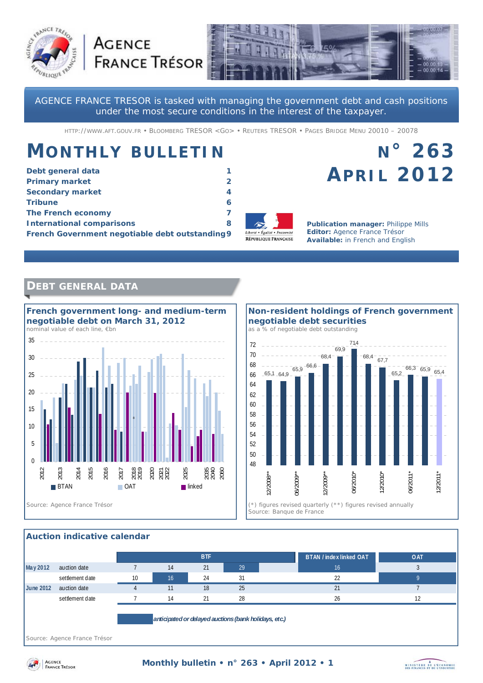



AGENCE FRANCE TRESOR is tasked with managing the government debt and cash positions under the most secure conditions in the interest of the taxpayer.

HTTP://WWW.AFT.GOUV.FR • BLOOMBERG TRESOR <GO> • REUTERS TRESOR • PAGES BRIDGE MENU 20010 – 20078

# **MONTHLY BULLETIN**

**AGENCE** 

| Debt general data                               |   |
|-------------------------------------------------|---|
| <b>Primary market</b>                           |   |
| <b>Secondary market</b>                         | 4 |
| <b>Tribune</b>                                  | 6 |
| The French economy                              |   |
| <b>International comparisons</b>                | 8 |
| French Government negotiable debt outstanding 9 |   |



**Publication manager:** Philippe Mills **Editor:** Agence France Trésor **Available:** in French and English

**APRIL 2012**

**N° 263** 

# **DEBT GENERAL DATA**



 $65,1$  64.9  $65.9 - 66.6$ 68,4 69,9 71,4  $-68,4$  67,7 65,2 66,3 65,9 65,4 48 50 52 54 56 58 60 62 64 66 68 70 72 12/2008 06/2009\*\* 12/2009\* 06/2010\* 12/2010\* 06/2011\* 12/2011 *Source: Banque de France*  **Non-resident holdings of French government negotiable debt securities**  *as a % of negotiable debt outstanding* 

### **Auction indicative calendar**

|                                                       |                 |    |    | <b>BTF</b> |    | BTAN / index linked OAT | <b>OAT</b> |
|-------------------------------------------------------|-----------------|----|----|------------|----|-------------------------|------------|
| May 2012                                              | auction date    |    | 14 | 21         | 29 | 16                      |            |
|                                                       | settlement date | 10 | 16 | 24         | 31 | 22                      |            |
| <b>June 2012</b>                                      | auction date    |    | 11 | 18         | 25 | 21                      |            |
|                                                       | settlement date |    | 14 | 21         | 28 | 26                      |            |
|                                                       |                 |    |    |            |    |                         |            |
| anticipated or delayed auctions (bank holidays, etc.) |                 |    |    |            |    |                         |            |

*Source: Agence France Trésor* 



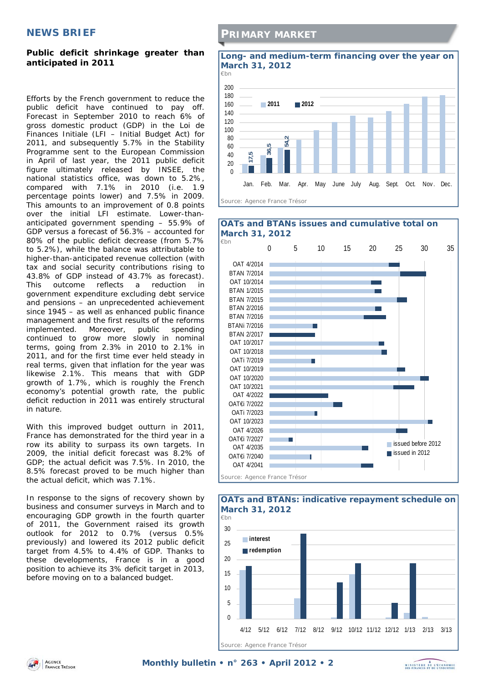## **NEWS BRIEF**

## **Public deficit shrinkage greater than anticipated in 2011**

Efforts by the French government to reduce the public deficit have continued to pay off. Forecast in September 2010 to reach 6% of gross domestic product (GDP) in the Loi de Finances Initiale (LFI – Initial Budget Act) for 2011, and subsequently 5.7% in the Stability Programme sent to the European Commission in April of last year, the 2011 public deficit figure ultimately released by INSEE, the national statistics office, was down to 5.2%, compared with 7.1% in 2010 (i.e. 1.9 percentage points lower) and 7.5% in 2009. This amounts to an improvement of 0.8 points over the initial LFI estimate. Lower-thananticipated government spending – 55.9% of GDP versus a forecast of 56.3% – accounted for 80% of the public deficit decrease (from 5.7% to 5.2%), while the balance was attributable to higher-than-anticipated revenue collection (with tax and social security contributions rising to 43.8% of GDP instead of 43.7% as forecast). This outcome reflects a reduction in government expenditure excluding debt service and pensions – an unprecedented achievement since 1945 – as well as enhanced public finance management and the first results of the reforms implemented. Moreover, public spending continued to grow more slowly in nominal terms, going from 2.3% in 2010 to 2.1% in 2011, and for the first time ever held steady in real terms, given that inflation for the year was likewise 2.1%. This means that with GDP growth of 1.7%, which is roughly the French economy's potential growth rate, the public deficit reduction in 2011 was entirely structural in nature.

With this improved budget outturn in 2011, France has demonstrated for the third year in a row its ability to surpass its own targets. In 2009, the initial deficit forecast was 8.2% of GDP; the actual deficit was 7.5%. In 2010, the 8.5% forecast proved to be much higher than the actual deficit, which was 7.1%.

In response to the signs of recovery shown by business and consumer surveys in March and to encouraging GDP growth in the fourth quarter of 2011, the Government raised its growth outlook for 2012 to 0.7% (versus 0.5% previously) and lowered its 2012 public deficit target from 4.5% to 4.4% of GDP. Thanks to these developments, France is in a good position to achieve its 3% deficit target in 2013, before moving on to a balanced budget.

# **PRIMARY MARKET**



#### 0 5 10 15 20 25 30 35 OAT 4/2014 BTAN 7/2014 OAT 10/2014 BTAN 1/2015 BTAN 7/2015 BTAN 2/2016 BTAN 7/2016 BTANi 7/2016 BTAN 2/2017 OAT 10/2017 OAT 10/2018 OATi 7/2019 OAT 10/2019 OAT 10/2020 OAT 10/2021 OAT 4/2022 OAT€i 7/2022 OATi 7/2023 OAT 10/2023 OAT 4/2026 OAT€i 7/2027 OAT 4/2035 OAT€i 7/2040 OAT 4/2041 ssued before 2012 ssued in 2012 **OATs and BTANs issues and cumulative total on March 31, 2012**  *€bn Source: Agence France Trésor*



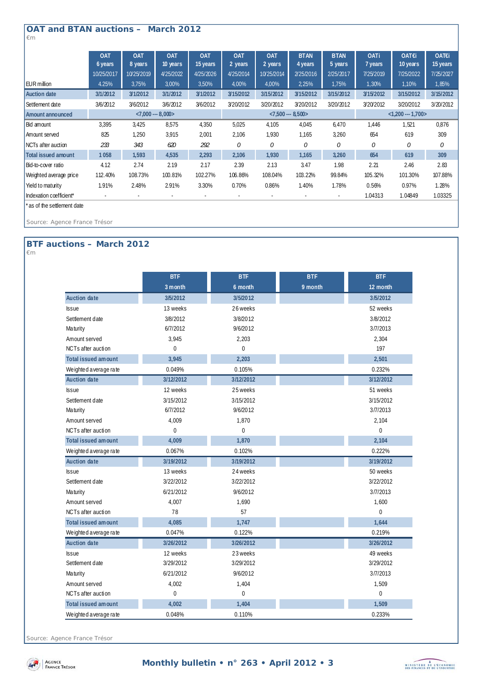## **OAT and BTAN auctions – March 2012**

**OAT 6 years OAT 8 years OAT 10 years OAT 15 years OAT 2 years OAT 2 years BTAN 4 years BTAN 5 years OATi 7 years OAT€i 10 years OAT€i 15 years** 10/25/2017 10/25/2019 4/25/2022 4/25/2026 4/25/2014 10/25/2014 2/25/2016 2/25/2017 7/25/2019 7/25/2022 7/25/2027 EUR million 4.25% 3,75% 3,00% 3,50% 4,00% 4,00% 2,25% 1,75% 1,30% 1,10% 1,85% **Auction date 3/1/2012 3/1/2012 3/1/2012 3/1/2012 3/15/2012 3/15/2012 3/15/2012 3/15/2012 3/15/2012 3/15/2012 3/15/2012** Settlement date 3/6/2012 3/6/2012 3/6/2012 3/6/2012 3/20/2012 3/20/2012 3/20/2012 3/20/2012 3/20/2012 3/20/2012 3/20/2012 **Amount announced** Bid amount 3,395 3,425 8,575 4,350 5,025 4,105 4,045 6,470 1,446 1,521 0,876 Amount served 825 1,250 3,915 2,001 2,106 1,930 1,165 3,260 654 619 309 NCTs after auction *233 343 620 292 0 0 0 0 0 0 0* **Total issued amount 1 058 1,593 4,535 2,293 2,106 1,930 1,165 3,260 654 619 309** Bid-to-cover ratio 4.12 2.74 2.19 2.17 2.39 2.13 3.47 1.98 2.21 2.46 2.83 Weighted average price 112.40% 108.73% 100.81% 102.27% 106.86% 108.04% 103.22% 99.84% 105.32% 101.30% 107.88% Yield to maturity 1.91% 2.48% 2.91% 3.30% 0.70% 0.86% 1.40% 1.78% 0.56% 0.97% 1.28% Indexation coefficient\* 1.03325 **<7,000 --- 8,000> <7,500 --- 8,500> <1,200 --- 1,700>**

\* as of the settlement date

*Source: Agence France Trésor* 

## **BTF auctions – March 2012**

*€m* 

*€m* 

|                            | <b>BTF</b>  | <b>BTF</b>     | <b>BTF</b> | <b>BTF</b>     |
|----------------------------|-------------|----------------|------------|----------------|
|                            | 3 month     | 6 month        | 9 month    | 12 month       |
| Auction date               | 3/5/2012    | 3/5/2012       |            | 3/5/2012       |
| <b>Issue</b>               | 13 weeks    | 26 weeks       |            | 52 weeks       |
| Settlement date            | 3/8/2012    | 3/8/2012       |            | 3/8/2012       |
| Ma turity                  | 6/7/2012    | 9/6/2012       |            | 3/7/2013       |
| Amount served              | 3,945       | 2,203          |            | 2,304          |
| NCTs after auction         | $\Omega$    | $\Omega$       |            | 197            |
| <b>Total issued amount</b> | 3,945       | 2,203          |            | 2,501          |
| Weighted average rate      | 0.049%      | 0.105%         |            | 0.232%         |
| <b>Auction date</b>        | 3/12/2012   | 3/12/2012      |            | 3/12/2012      |
| <b>Issue</b>               | 12 weeks    | 25 weeks       |            | 51 weeks       |
| Settlement date            | 3/15/2012   | 3/15/2012      |            | 3/15/2012      |
| Ma turity                  | 6/7/2012    | 9/6/2012       |            | 3/7/2013       |
| Amount served              | 4,009       | 1,870          |            | 2,104          |
| NCTs after auction         | $\Omega$    | $\Omega$       |            | $\Omega$       |
| <b>Total issued amount</b> | 4,009       | 1,870          |            | 2,104          |
| Weighted average rate      | 0.067%      | 0.102%         |            | 0.222%         |
| <b>Auction date</b>        | 3/19/2012   | 3/19/2012      |            | 3/19/2012      |
| <b>Issue</b>               | 13 weeks    | 24 weeks       |            | 50 weeks       |
| Settlement date            | 3/22/2012   | 3/22/2012      |            | 3/22/2012      |
| Maturity                   | 6/21/2012   | 9/6/2012       |            | 3/7/2013       |
| Amount served              | 4,007       | 1,690          |            | 1,600          |
| NCTs after auction         | 78          | 57             |            | $\overline{0}$ |
| <b>Total issued amount</b> | 4,085       | 1,747          |            | 1,644          |
| Weighted average rate      | 0.047%      | 0.122%         |            | 0.219%         |
| <b>Auction date</b>        | 3/26/2012   | 3/26/2012      |            | 3/26/2012      |
| <b>Issue</b>               | 12 weeks    | 23 weeks       |            | 49 weeks       |
| Settlement date            | 3/29/2012   | 3/29/2012      |            | 3/29/2012      |
| Ma turity                  | 6/21/2012   | 9/6/2012       |            | 3/7/2013       |
| Amount served              | 4,002       | 1,404          |            | 1,509          |
| NCTs after auction         | $\mathbf 0$ | $\overline{0}$ |            | $\overline{0}$ |
| <b>Total issued amount</b> | 4,002       | 1,404          |            | 1,509          |
| We ighted a verage rate    | 0.048%      | 0.110%         |            | 0.233%         |

*Source: Agence France Trésor* 



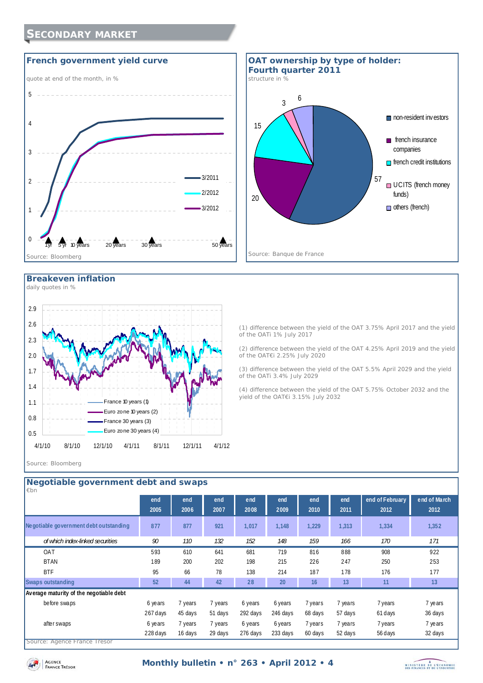# **SECONDARY MARKET**





#### **Breakeven inflation**  *daily quotes in %*

0.5 0.8 1.1 1.4 1.7 2.0 2.3 2.6 2.9 4/1/10 8/1/10 12/1/10 4/1/11 8/1/11 12/1/11 4/1/12 France 10 years (1) Euro zone 10 years (2) France 30 years (3) Euro zone 30 years (4)

(1) difference between the yield of the OAT 3.75% April 2017 and the yield of the OATi 1% July 2017 (2) difference between the yield of the OAT 4.25% April 2019 and the yield

of the OAT€i 2.25% July 2020 (3) difference between the yield of the OAT 5.5% April 2029 and the yield of the OATi 3.4% July 2029

(4) difference between the yield of the OAT 5.75% October 2032 and the yield of the OAT€i 3.15% July 2032

*Source: Bloomberg* 

| end of February<br>end<br>end<br>end<br>end<br>end<br>end<br>end<br>2007<br>2008<br>2010<br>2005<br>2006<br>2009<br>2011<br>2012<br>Negotiable government debt outstanding<br>877<br>921<br>877<br>1,017<br>1,148<br>1,229<br>1,313<br>1,334<br>132<br>152<br>159<br>166<br>of which index-linked securities<br>90<br>110<br>148<br>170<br>171<br>593<br>641<br>681<br>719<br>888<br>908<br>OAT<br>610<br>816<br>202<br>253<br><b>BTAN</b><br>189<br>215<br>247<br>250<br>200<br>198<br>226 | Negotiable government debt and swaps<br>$\not\varepsilon$ bn |  |  |  |  |                      |
|---------------------------------------------------------------------------------------------------------------------------------------------------------------------------------------------------------------------------------------------------------------------------------------------------------------------------------------------------------------------------------------------------------------------------------------------------------------------------------------------|--------------------------------------------------------------|--|--|--|--|----------------------|
|                                                                                                                                                                                                                                                                                                                                                                                                                                                                                             |                                                              |  |  |  |  | end of March<br>2012 |
|                                                                                                                                                                                                                                                                                                                                                                                                                                                                                             |                                                              |  |  |  |  | 1,352                |
|                                                                                                                                                                                                                                                                                                                                                                                                                                                                                             |                                                              |  |  |  |  |                      |
|                                                                                                                                                                                                                                                                                                                                                                                                                                                                                             |                                                              |  |  |  |  | 922                  |
|                                                                                                                                                                                                                                                                                                                                                                                                                                                                                             |                                                              |  |  |  |  |                      |
| <b>BTF</b><br>95<br>78<br>214<br>187<br>178<br>177<br>66<br>138<br>176                                                                                                                                                                                                                                                                                                                                                                                                                      |                                                              |  |  |  |  |                      |
| 28<br>16<br>13<br>52<br>44<br>42<br>20<br>11<br>13<br><b>Swaps outstanding</b>                                                                                                                                                                                                                                                                                                                                                                                                              |                                                              |  |  |  |  |                      |
| Average maturity of the negotiable debt                                                                                                                                                                                                                                                                                                                                                                                                                                                     |                                                              |  |  |  |  |                      |
| before swaps<br>7 years<br>7 years<br>7 years<br>7 years<br>7 years<br>6 years<br>6 years<br>6 years                                                                                                                                                                                                                                                                                                                                                                                        |                                                              |  |  |  |  | 7 years              |
| 267 days<br>292 days<br>57 days<br>61 days<br>45 days<br>51 days<br>246 days<br>68 days                                                                                                                                                                                                                                                                                                                                                                                                     |                                                              |  |  |  |  | 36 days              |
| 7 years<br>7 years<br>7 years<br>7 years<br>after swaps<br>7 years<br>6 years<br>6 years<br>6 years                                                                                                                                                                                                                                                                                                                                                                                         |                                                              |  |  |  |  | 7 years              |
| 228 days<br>233 days<br>29 days<br>276 days<br>52 days<br>56 days<br>16 days<br>60 days<br>Source: Agence France Trésor                                                                                                                                                                                                                                                                                                                                                                     |                                                              |  |  |  |  | 32 days              |

## **Negotiable government debt and swaps**

*Source: Agence France Trésor* 

AGENCE **FRANCE TRESOR** 

## **Monthly bulletin • n° 263 • April 2012 • 4**

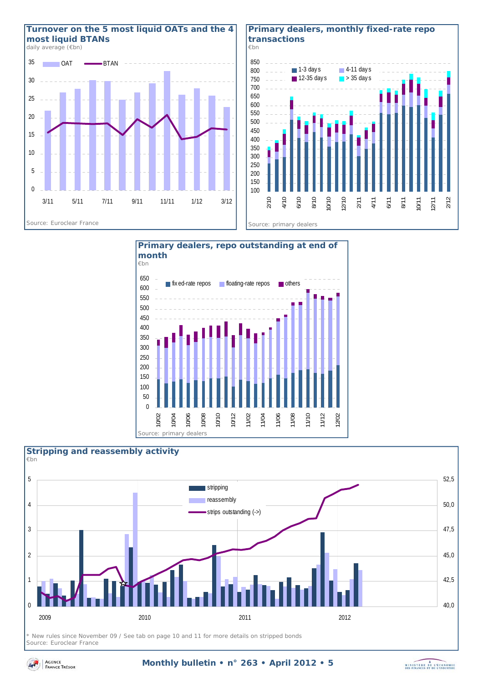

#### **Primary dealers, monthly fixed-rate repo transactions**





## $\Omega$ 1 2 3 4 5 2009 2010 2011 2012 40,0 42,5 45,0 47,5 50,0 52,5 stripping reassembly strips outstanding (->) **Stripping and reassembly activity**  *€bn*

*\* New rules since November 09 / See tab on page 10 and 11 for more details on stripped bonds Source: Euroclear France* 



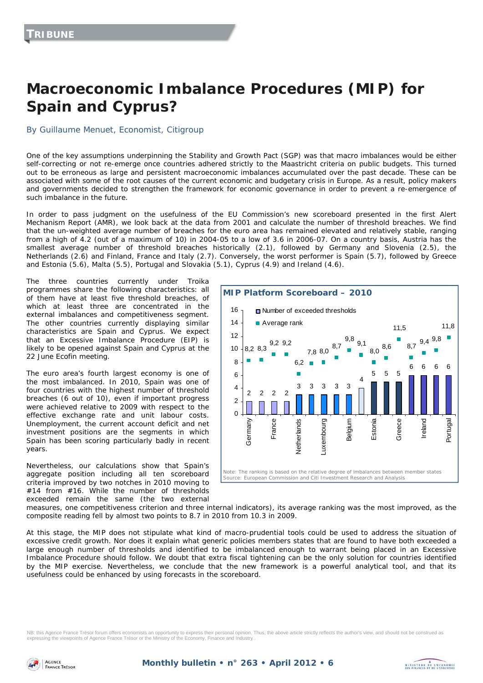# **Macroeconomic Imbalance Procedures (MIP) for Spain and Cyprus?**

#### By Guillaume Menuet, Economist, Citigroup

One of the key assumptions underpinning the Stability and Growth Pact (SGP) was that macro imbalances would be either self-correcting or not re-emerge once countries adhered strictly to the Maastricht criteria on public budgets. This turned out to be erroneous as large and persistent macroeconomic imbalances accumulated over the past decade. These can be associated with some of the root causes of the current economic and budgetary crisis in Europe. As a result, policy makers and governments decided to strengthen the framework for economic governance in order to prevent a re-emergence of such imbalance in the future.

In order to pass judgment on the usefulness of the EU Commission's new scoreboard presented in the first Alert Mechanism Report (AMR), we look back at the data from 2001 and calculate the number of threshold breaches. We find that the un-weighted average number of breaches for the euro area has remained elevated and relatively stable, ranging from a high of 4.2 (out of a maximum of 10) in 2004-05 to a low of 3.6 in 2006-07. On a country basis, Austria has the smallest average number of threshold breaches historically (2.1), followed by Germany and Slovenia (2.5), the Netherlands (2.6) and Finland, France and Italy (2.7). Conversely, the worst performer is Spain (5.7), followed by Greece and Estonia (5.6), Malta (5.5), Portugal and Slovakia (5.1), Cyprus (4.9) and Ireland (4.6).

The three countries currently under Troika programmes share the following characteristics: all of them have at least five threshold breaches, of which at least three are concentrated in the external imbalances and competitiveness segment. The other countries currently displaying similar characteristics are Spain and Cyprus. We expect that an Excessive Imbalance Procedure (EIP) is likely to be opened against Spain and Cyprus at the 22 June Ecofin meeting.

The euro area's fourth largest economy is one of the most imbalanced. In 2010, Spain was one of four countries with the highest number of threshold breaches (6 out of 10), even if important progress were achieved relative to 2009 with respect to the effective exchange rate and unit labour costs. Unemployment, the current account deficit and net investment positions are the segments in which Spain has been scoring particularly badly in recent years.

Nevertheless, our calculations show that Spain's aggregate position including all ten scoreboard criteria improved by two notches in 2010 moving to #14 from #16. While the number of thresholds exceeded remain the same (the two external



MINISTRE DE L'ÉCONOMIE

measures, one competitiveness criterion and three internal indicators), its average ranking was the most improved, as the composite reading fell by almost two points to 8.7 in 2010 from 10.3 in 2009.

At this stage, the MIP does not stipulate what kind of macro-prudential tools could be used to address the situation of excessive credit growth. Nor does it explain what generic policies members states that are found to have both exceeded a large enough number of thresholds and identified to be imbalanced enough to warrant being placed in an Excessive Imbalance Procedure should follow. We doubt that extra fiscal tightening can be the only solution for countries identified by the MIP exercise. Nevertheless, we conclude that the new framework is a powerful analytical tool, and that its usefulness could be enhanced by using forecasts in the scoreboard.

NB: this Agence France Trésor forum offers economists an opportunity to express their personal opinion. Thus, the above article strictly reflects the author's view, and should not be construed as expressing the viewpoints of Agence France Trésor or the Ministry of the Economy, Finance and Industry .

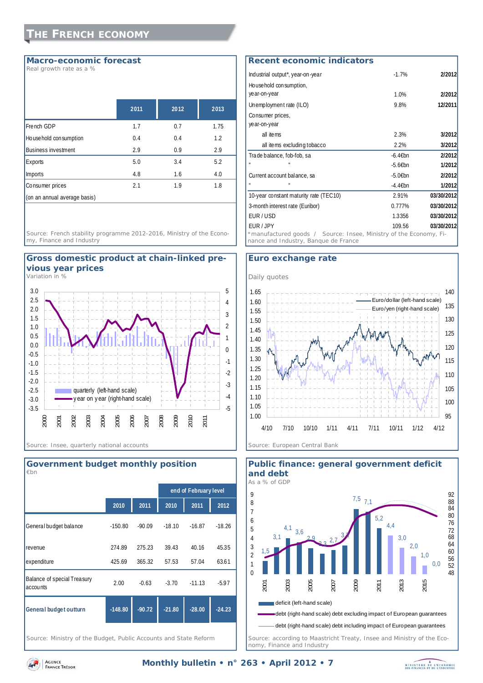#### **Macro-economic forecast**

*Real growth rate as a %* 

|                              | 2011 | 2012 | 2013 |
|------------------------------|------|------|------|
| French GDP                   | 1.7  | 0.7  | 1.75 |
| Household consumption        | 0.4  | 0.4  | 1.2  |
| <b>Business investment</b>   | 2.9  | 0.9  | 2.9  |
| Exports                      | 5.0  | 3.4  | 5.2  |
| Imports                      | 4.8  | 1.6  | 4.0  |
| Consumer prices              | 2.1  | 1.9  | 1.8  |
| (on an annual average basis) |      |      |      |

*Source: French stability programme 2012-2016, Ministry of the Economy, Finance and Industry* 



*Variation in %* 





*Source: Ministry of the Budget, Public Accounts and State Reform* 

# Industrial output\*, year-on-year -1.7% **2/2012** Household consumption, **Recent economic indicators**

| House hold consumption,                                                                                   |            |            |
|-----------------------------------------------------------------------------------------------------------|------------|------------|
| year-on-year                                                                                              | 1.0%       | 2/2012     |
| Unemployment rate (ILO)                                                                                   | 9.8%       | 12/2011    |
| Consumer prices,                                                                                          |            |            |
| year-on-year                                                                                              |            |            |
| all items                                                                                                 | 2.3%       | 3/2012     |
| all items excluding tobacco                                                                               | 2.2%       | 3/2012     |
| Trade balance, fob-fob, sa                                                                                | -6.4€bn    | 2/2012     |
|                                                                                                           | $-5.66$ bn | 1/2012     |
| Current account balance, sa                                                                               | $-5.06$ bn | 2/2012     |
|                                                                                                           | -4.4€bn    | 1/2012     |
| 10-year constant maturity rate (TEC10)                                                                    | 2.91%      | 03/30/2012 |
| 3-month interest rate (Euribor)                                                                           | 0.777%     | 03/30/2012 |
| EUR/USD                                                                                                   | 1.3356     | 03/30/2012 |
| <b>EUR</b> / JPY                                                                                          | 109.56     | 03/30/2012 |
| *manufactured goods / Source: Insee, Ministry of the Economy, Fi-<br>nance and Industry, Banque de France |            |            |

### **Euro exchange rate**





**Public finance: general government deficit** 

*Source: according to Maastricht Treaty, Insee and Ministry of the Economy, Finance and Industry* 



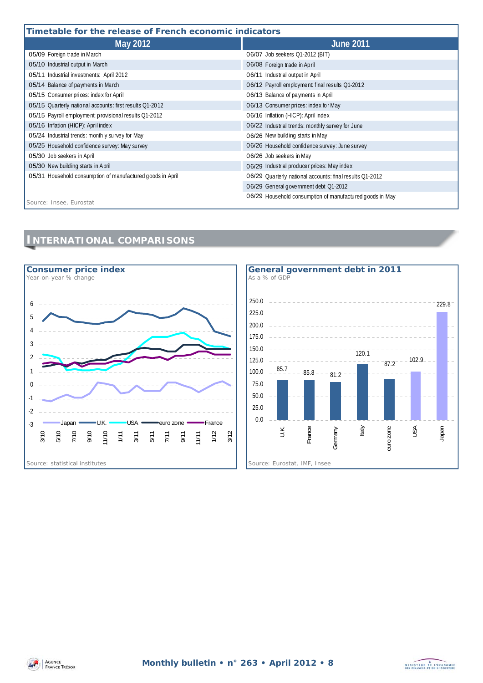### **Timetable for the release of French economic indicators**

| Timetable for the release of French economic indicators    |                                                          |  |  |
|------------------------------------------------------------|----------------------------------------------------------|--|--|
| May 2012                                                   | <b>June 2011</b>                                         |  |  |
| 05/09 Foreign trade in March                               | 06/07 Job seekers Q1-2012 (BIT)                          |  |  |
| 05/10 Industrial output in March                           | 06/08 Foreign trade in April                             |  |  |
| 05/11 Industrial investments: April 2012                   | 06/11 Industrial output in April                         |  |  |
| 05/14 Balance of payments in March                         | 06/12 Payroll employment: final results Q1-2012          |  |  |
| 05/15 Consumer prices: index for April                     | 06/13 Balance of payments in April                       |  |  |
| 05/15 Quarterly national accounts: first results Q1-2012   | 06/13 Consumer prices: index for May                     |  |  |
| 05/15 Payroll employment: provisional results Q1-2012      | 06/16 Inflation (HICP): April index                      |  |  |
| 05/16 Inflation (HICP): April index                        | 06/22 Industrial trends: monthly survey for June         |  |  |
| 05/24 Industrial trends: monthly survey for May            | 06/26 New building starts in May                         |  |  |
| 05/25 Household confidence survey: May survey              | 06/26 Household confidence survey: June survey           |  |  |
| 05/30 Job seekers in April                                 | 06/26 Job seekers in May                                 |  |  |
| 05/30 New building starts in April                         | 06/29 Industrial producer prices: May index              |  |  |
| 05/31 Household consumption of manufactured goods in April | 06/29 Quarterly national accounts: final results Q1-2012 |  |  |
|                                                            | 06/29 General government debt Q1-2012                    |  |  |
|                                                            | 06/29 Household consumption of manufactured goods in May |  |  |
| Source: Insee, Eurostat                                    |                                                          |  |  |

# **INTERNATIONAL COMPARISONS**





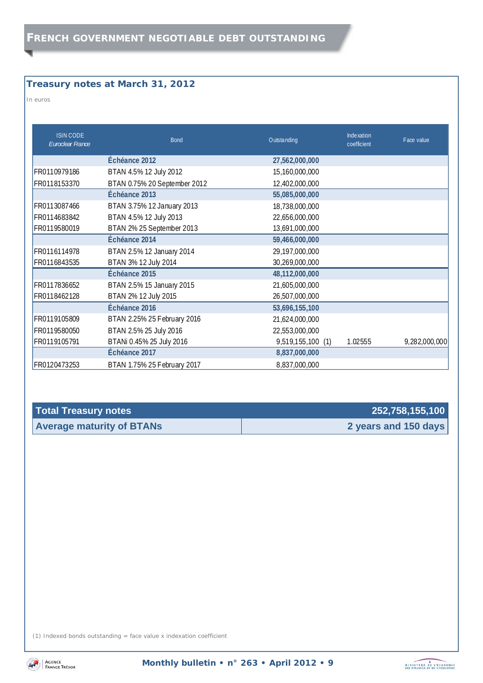# **Treasury notes at March 31, 2012**

*In euros* 

| <b>ISIN CODE</b><br>Euroclear France | <b>Bond</b>                  | Outstanding       | Inde xation<br>coefficient | Face value    |
|--------------------------------------|------------------------------|-------------------|----------------------------|---------------|
|                                      | Échéance 2012                | 27,562,000,000    |                            |               |
| FR0110979186                         | BTAN 4.5% 12 July 2012       | 15,160,000,000    |                            |               |
| FR0118153370                         | BTAN 0.75% 20 September 2012 | 12,402,000,000    |                            |               |
|                                      | Échéance 2013                | 55,085,000,000    |                            |               |
| FR0113087466                         | BTAN 3.75% 12 January 2013   | 18,738,000,000    |                            |               |
| FR0114683842                         | BTAN 4.5% 12 July 2013       | 22,656,000,000    |                            |               |
| FR0119580019                         | BTAN 2% 25 September 2013    | 13,691,000,000    |                            |               |
|                                      | Échéance 2014                | 59,466,000,000    |                            |               |
| FR0116114978                         | BTAN 2.5% 12 January 2014    | 29,197,000,000    |                            |               |
| FR0116843535                         | BTAN 3% 12 July 2014         | 30,269,000,000    |                            |               |
|                                      | Échéance 2015                | 48,112,000,000    |                            |               |
| FR0117836652                         | BTAN 2.5% 15 January 2015    | 21,605,000,000    |                            |               |
| FR0118462128                         | BTAN 2% 12 July 2015         | 26,507,000,000    |                            |               |
|                                      | Échéance 2016                | 53,696,155,100    |                            |               |
| FR0119105809                         | BTAN 2.25% 25 February 2016  | 21,624,000,000    |                            |               |
| FR0119580050                         | BTAN 2.5% 25 July 2016       | 22,553,000,000    |                            |               |
| FR0119105791                         | BTANi 0.45% 25 July 2016     | 9,519,155,100 (1) | 1.02555                    | 9,282,000,000 |
|                                      | Échéance 2017                | 8,837,000,000     |                            |               |
| FR0120473253                         | BTAN 1.75% 25 February 2017  | 8,837,000,000     |                            |               |

| <b>Total Treasury notes</b>      | 252,758,155,100      |
|----------------------------------|----------------------|
| <b>Average maturity of BTANs</b> | 2 years and 150 days |

(1) Indexed bonds outstanding = face value x indexation coefficient

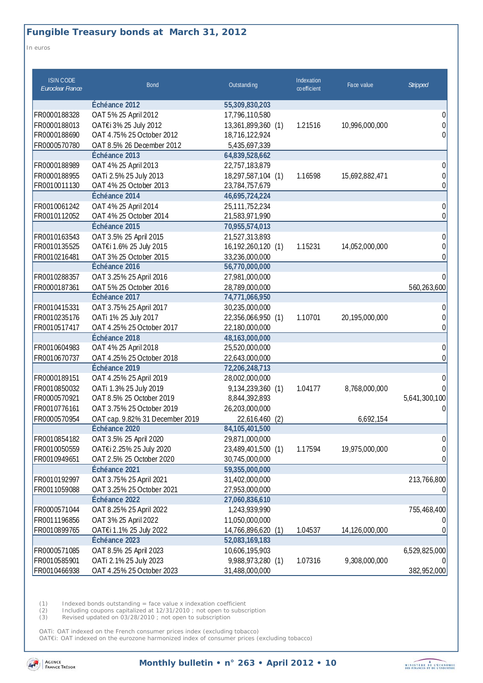# **Fungible Treasury bonds at March 31, 2012**

*In euros* 

| <b>ISIN CODE</b><br>Euroclear France | <b>Bond</b>                     | Outstanding           | Indexation<br>coefficient | Face value     | <b>Stripped</b> |
|--------------------------------------|---------------------------------|-----------------------|---------------------------|----------------|-----------------|
|                                      | Échéance 2012                   | 55,309,830,203        |                           |                |                 |
| FR0000188328                         | OAT 5% 25 April 2012            | 17,796,110,580        |                           |                | 0               |
| FR0000188013                         | OAT€i 3% 25 July 2012           | 13,361,899,360 (1)    | 1.21516                   | 10,996,000,000 | 0               |
| FR0000188690                         | OAT 4.75% 25 October 2012       | 18,716,122,924        |                           |                | 0               |
| FR0000570780                         | OAT 8.5% 26 December 2012       | 5,435,697,339         |                           |                |                 |
|                                      | Échéance 2013                   | 64,839,528,662        |                           |                |                 |
| FR0000188989                         | OAT 4% 25 April 2013            | 22,757,183,879        |                           |                | 0               |
| FR0000188955                         | OATi 2.5% 25 July 2013          | 18,297,587,104 (1)    | 1.16598                   | 15,692,882,471 | 0               |
| FR0010011130                         | OAT 4% 25 October 2013          | 23,784,757,679        |                           |                | 0               |
|                                      | Échéance 2014                   | 46,695,724,224        |                           |                |                 |
| FR0010061242                         | OAT 4% 25 April 2014            | 25, 111, 752, 234     |                           |                | 0               |
| FR0010112052                         | OAT 4% 25 October 2014          | 21,583,971,990        |                           |                | 0               |
|                                      | Échéance 2015                   | 70,955,574,013        |                           |                |                 |
| FR0010163543                         | OAT 3.5% 25 April 2015          | 21,527,313,893        |                           |                | 0               |
| FR0010135525                         | OAT€i 1.6% 25 July 2015         | 16,192,260,120 (1)    | 1.15231                   | 14,052,000,000 | 0               |
| FR0010216481                         | OAT 3% 25 October 2015          | 33,236,000,000        |                           |                | $\Omega$        |
|                                      | Échéance 2016                   | 56,770,000,000        |                           |                |                 |
| FR0010288357                         | OAT 3.25% 25 April 2016         | 27,981,000,000        |                           |                | $\Omega$        |
| FR0000187361                         | OAT 5% 25 October 2016          | 28,789,000,000        |                           |                | 560,263,600     |
|                                      | Échéance 2017                   | 74,771,066,950        |                           |                |                 |
| FR0010415331                         | OAT 3.75% 25 April 2017         | 30,235,000,000        |                           |                | 0               |
| FR0010235176                         | OATi 1% 25 July 2017            | 22,356,066,950 (1)    | 1.10701                   | 20,195,000,000 | 0               |
| FR0010517417                         | OAT 4.25% 25 October 2017       | 22,180,000,000        |                           |                | 0               |
|                                      | Échéance 2018                   | 48,163,000,000        |                           |                |                 |
| FR0010604983                         | OAT 4% 25 April 2018            | 25,520,000,000        |                           |                | 0               |
| FR0010670737                         | OAT 4.25% 25 October 2018       | 22,643,000,000        |                           |                | $\Omega$        |
|                                      | Échéance 2019                   | 72,206,248,713        |                           |                |                 |
| FR0000189151                         | OAT 4.25% 25 April 2019         | 28,002,000,000        |                           |                | 0               |
| FR0010850032                         | OATi 1.3% 25 July 2019          | 9,134,239,360 (1)     | 1.04177                   | 8,768,000,000  |                 |
| FR0000570921                         | OAT 8.5% 25 October 2019        | 8,844,392,893         |                           |                | 5,641,300,100   |
| FR0010776161                         | OAT 3.75% 25 October 2019       | 26,203,000,000        |                           |                | 0               |
| FR0000570954                         | OAT cap. 9.82% 31 December 2019 | 22,616,460<br>(2)     |                           | 6,692,154      |                 |
|                                      | Échéance 2020                   | 84,105,401,500        |                           |                |                 |
| FR0010854182                         | OAT 3.5% 25 April 2020          | 29,871,000,000        |                           |                | 0               |
| FR0010050559                         | OAT€i 2.25% 25 July 2020        | 23,489,401,500 (1)    | 1.17594                   | 19,975,000,000 | 0               |
| FR0010949651                         | OAT 2.5% 25 October 2020        | 30,745,000,000        |                           |                | 0               |
|                                      | Échéance 2021                   | 59,355,000,000        |                           |                |                 |
| FR0010192997                         | OAT 3.75% 25 April 2021         | 31,402,000,000        |                           |                | 213,766,800     |
| FR0011059088                         | OAT 3.25% 25 October 2021       | 27,953,000,000        |                           |                | U               |
|                                      | Échéance 2022                   | 27,060,836,610        |                           |                |                 |
| FR0000571044                         | OAT 8.25% 25 April 2022         | 1,243,939,990         |                           |                | 755,468,400     |
| FR0011196856                         | OAT 3% 25 April 2022            | 11,050,000,000        |                           |                |                 |
| FR0010899765                         | OAT€i 1.1% 25 July 2022         | 14,766,896,620<br>(1) | 1.04537                   | 14,126,000,000 |                 |
|                                      | Échéance 2023                   | 52,083,169,183        |                           |                |                 |
| FR0000571085                         | OAT 8.5% 25 April 2023          | 10,606,195,903        |                           |                | 6,529,825,000   |
| FR0010585901                         | OATi 2.1% 25 July 2023          | 9,988,973,280 (1)     | 1.07316                   | 9,308,000,000  |                 |
| FR0010466938                         | OAT 4.25% 25 October 2023       | 31,488,000,000        |                           |                | 382,952,000     |

(1) Indexed bonds outstanding = face value x indexation coefficient

(2) Including coupons capitalized at 12/31/2010 ; not open to subscription

(3) Revised updated on 03/28/2010 ; not open to subscription

OATi: OAT indexed on the French consumer prices index (excluding tobacco) OAT€i: OAT indexed on the eurozone harmonized index of consumer prices (excluding tobacco)



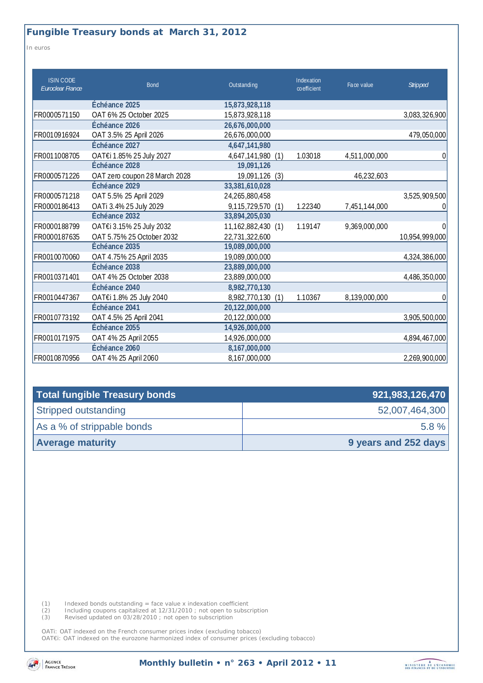*In euros* 

| <b>ISIN CODE</b><br>Euroclear France | <b>Bond</b>                   | Outstanding          | Indexation<br>co efficient | Face value    | Stripped       |
|--------------------------------------|-------------------------------|----------------------|----------------------------|---------------|----------------|
|                                      | Échéance 2025                 | 15,873,928,118       |                            |               |                |
| FR0000571150                         | OAT 6% 25 October 2025        | 15,873,928,118       |                            |               | 3,083,326,900  |
|                                      | Échéance 2026                 | 26,676,000,000       |                            |               |                |
| FR0010916924                         | OAT 3.5% 25 April 2026        | 26,676,000,000       |                            |               | 479,050,000    |
|                                      | Échéance 2027                 | 4,647,141,980        |                            |               |                |
| FR0011008705                         | OAT€i 1.85% 25 July 2027      | 4,647,141,980<br>(1) | 1.03018                    | 4,511,000,000 | 0              |
|                                      | Échéance 2028                 | 19,091,126           |                            |               |                |
| FR0000571226                         | OAT zero coupon 28 March 2028 | 19,091,126<br>(3)    |                            | 46,232,603    |                |
|                                      | Échéance 2029                 | 33,381,610,028       |                            |               |                |
| FR0000571218                         | OAT 5.5% 25 April 2029        | 24,265,880,458       |                            |               | 3,525,909,500  |
| FR0000186413                         | OATi 3.4% 25 July 2029        | 9,115,729,570 (1)    | 1.22340                    | 7,451,144,000 |                |
|                                      | Échéance 2032                 | 33,894,205,030       |                            |               |                |
| FR0000188799                         | OAT€i 3.15% 25 July 2032      | 11,162,882,430 (1)   | 1.19147                    | 9,369,000,000 | $\Omega$       |
| FR0000187635                         | OAT 5.75% 25 October 2032     | 22,731,322,600       |                            |               | 10,954,999,000 |
|                                      | Échéance 2035                 | 19,089,000,000       |                            |               |                |
| FR0010070060                         | OAT 4.75% 25 April 2035       | 19,089,000,000       |                            |               | 4,324,386,000  |
|                                      | Échéance 2038                 | 23,889,000,000       |                            |               |                |
| FR0010371401                         | OAT 4% 25 October 2038        | 23,889,000,000       |                            |               | 4,486,350,000  |
|                                      | Échéance 2040                 | 8,982,770,130        |                            |               |                |
| FR0010447367                         | OAT€i 1.8% 25 July 2040       | 8,982,770,130<br>(1) | 1.10367                    | 8,139,000,000 | 0              |
|                                      | Échéance 2041                 | 20,122,000,000       |                            |               |                |
| FR0010773192                         | OAT 4.5% 25 April 2041        | 20,122,000,000       |                            |               | 3,905,500,000  |
|                                      | Échéance 2055                 | 14,926,000,000       |                            |               |                |
| FR0010171975                         | OAT 4% 25 April 2055          | 14,926,000,000       |                            |               | 4,894,467,000  |
|                                      | Échéance 2060                 | 8,167,000,000        |                            |               |                |
| FR0010870956                         | OAT 4% 25 April 2060          | 8,167,000,000        |                            |               | 2,269,900,000  |

| Total fungible Treasury bonds | 921,983,126,470      |
|-------------------------------|----------------------|
| Stripped outstanding          | 52,007,464,300       |
| As a % of strippable bonds    | $5.8 \%$             |
| <b>Average maturity</b>       | 9 years and 252 days |

(1) Indexed bonds outstanding = face value x indexation coefficient

(2) Including coupons capitalized at 12/31/2010 ; not open to subscription

(3) Revised updated on 03/28/2010 ; not open to subscription

OATi: OAT indexed on the French consumer prices index (excluding tobacco)

OAT€i: OAT indexed on the eurozone harmonized index of consumer prices (excluding tobacco)



**Monthly bulletin • n° 263 • April 2012 • 11**